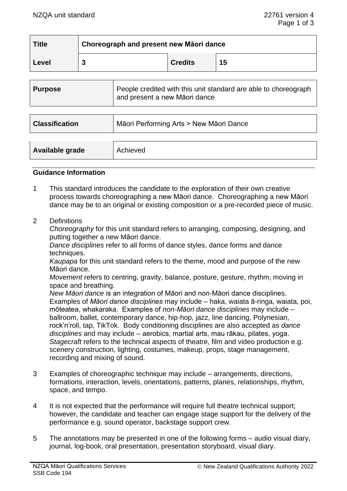| <b>Title</b> | Choreograph and present new Māori dance |                |    |  |
|--------------|-----------------------------------------|----------------|----|--|
| Level        |                                         | <b>Credits</b> | 15 |  |

| <b>Purpose</b>        | People credited with this unit standard are able to choreograph<br>and present a new Māori dance |
|-----------------------|--------------------------------------------------------------------------------------------------|
|                       |                                                                                                  |
| <b>Classification</b> | Māori Performing Arts > New Māori Dance                                                          |
|                       |                                                                                                  |
| Available grade       | Achieved                                                                                         |

#### **Guidance Information**

- 1 This standard introduces the candidate to the exploration of their own creative process towards choreographing a new Māori dance. Choreographing a new Māori dance may be to an original or existing composition or a pre-recorded piece of music.
- 2 Definitions

*Choreography* for this unit standard refers to arranging, composing, designing, and putting together a new Māori dance.

*Dance disciplines* refer to all forms of dance styles, dance forms and dance techniques.

*Kaupapa* for this unit standard refers to the theme, mood and purpose of the new Māori dance.

*Movement* refers to centring, gravity, balance, posture, gesture, rhythm, moving in space and breathing.

*New Māori dance* is an integration of Māori and non-Māori dance disciplines. Examples of *Māori dance disciplines* may include – haka, waiata ā-ringa, waiata, poi, mōteatea, whakaraka. Examples of *non-Māori dance disciplines* may include – ballroom, ballet, contemporary dance, hip-hop, jazz, line dancing, Polynesian, rock'n'roll, tap, TikTok. Body conditioning disciplines are also accepted as *dance disciplines* and may include – aerobics, martial arts, mau rākau, pilates, yoga. *Stagecraft* refers to the technical aspects of theatre, film and video production e.g. scenery construction, lighting, costumes, makeup, props, stage management, recording and mixing of sound.

- 3 Examples of choreographic technique may include arrangements, directions, formations, interaction, levels, orientations, patterns, planes, relationships, rhythm, space, and tempo.
- 4 It is not expected that the performance will require full theatre technical support; however, the candidate and teacher can engage stage support for the delivery of the performance e.g. sound operator, backstage support crew.
- 5 The annotations may be presented in one of the following forms audio visual diary, journal, log-book, oral presentation, presentation storyboard, visual diary.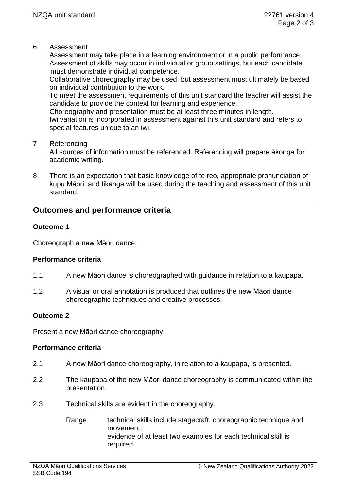6 Assessment

Assessment may take place in a learning environment or in a public performance. Assessment of skills may occur in individual or group settings, but each candidate must demonstrate individual competence.

Collaborative choreography may be used, but assessment must ultimately be based on individual contribution to the work.

To meet the assessment requirements of this unit standard the teacher will assist the candidate to provide the context for learning and experience.

Choreography and presentation must be at least three minutes in length. Iwi variation is incorporated in assessment against this unit standard and refers to special features unique to an iwi.

7 Referencing

All sources of information must be referenced. Referencing will prepare ākonga for academic writing.

8 There is an expectation that basic knowledge of te reo, appropriate pronunciation of kupu Māori, and tikanga will be used during the teaching and assessment of this unit standard.

# **Outcomes and performance criteria**

### **Outcome 1**

Choreograph a new Māori dance.

### **Performance criteria**

- 1.1 A new Māori dance is choreographed with guidance in relation to a kaupapa.
- 1.2 A visual or oral annotation is produced that outlines the new Māori dance choreographic techniques and creative processes.

### **Outcome 2**

Present a new Māori dance choreography.

## **Performance criteria**

- 2.1 A new Māori dance choreography, in relation to a kaupapa, is presented.
- 2.2 The kaupapa of the new Māori dance choreography is communicated within the presentation.
- 2.3 Technical skills are evident in the choreography.
	- Range technical skills include stagecraft, choreographic technique and movement; evidence of at least two examples for each technical skill is required.